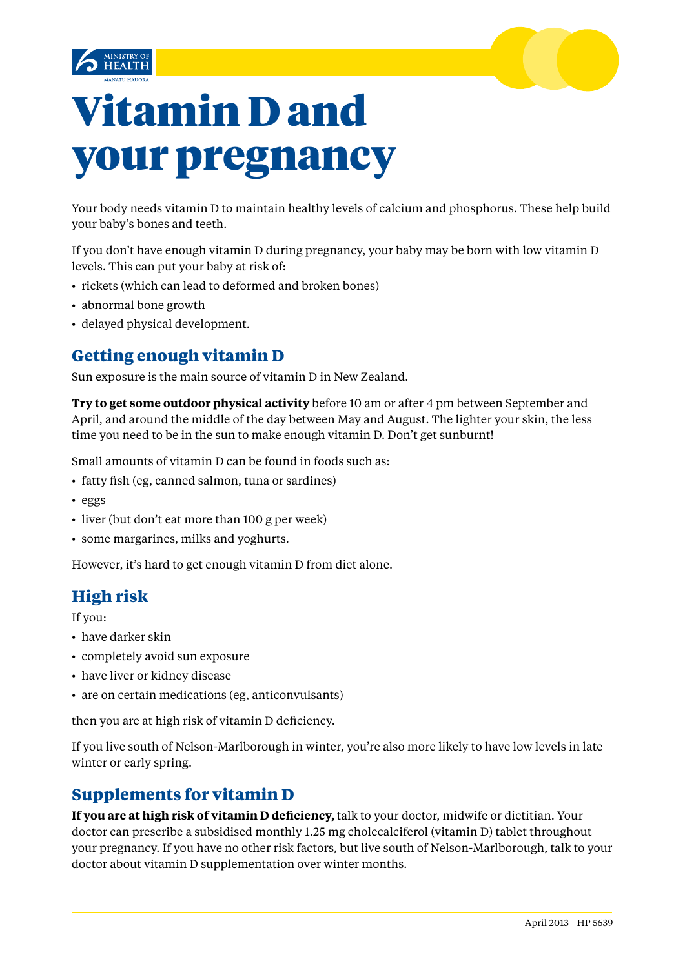



# Vitamin D and your pregnancy

Your body needs vitamin D to maintain healthy levels of [calcium](http://www.babycenter.com/0_calcium-in-your-pregnancy-diet_665.bc) and [phosphorus.](http://www.babycenter.com/0_phosphorus-in-your-pregnancy-diet_676.bc) These help build your baby's bones and teeth.

If you don't have enough vitamin D during pregnancy, your baby may be born with low vitamin D levels. This can put your baby at risk of:

- rickets (which can lead to deformed and broken bones)
- abnormal bone growth
- • delayed physical development.

# **Getting enough vitamin D**

Sun exposure is the main source of vitamin D in New Zealand.

**Try to get some outdoor physical activity** before 10 am or after 4 pm between September and April, and around the middle of the day between May and August. The lighter your skin, the less time you need to be in the sun to make enough vitamin D. Don't get sunburnt!

Small amounts of vitamin D can be found in foods such as:

- fatty fish (eg. canned salmon, tuna or sardines)
- • eggs
- liver (but don't eat more than 100 g per week)
- some margarines, milks and yoghurts.

However, it's hard to get enough vitamin D from diet alone.

# **High risk**

If you:

- have darker skin
- completely avoid sun exposure
- have liver or kidney disease
- are on certain medications (eg, anticonvulsants)

then you are at high risk of vitamin D deficiency.

If you live south of Nelson-Marlborough in winter, you're also more likely to have low levels in late winter or early spring.

## **Supplements for vitamin D**

**If you are at high risk of vitamin D deficiency,** talk to your doctor, midwife or dietitian. Your doctor can prescribe a subsidised monthly 1.25 mg cholecalciferol (vitamin D) tablet throughout your pregnancy. If you have no other risk factors, but live south of Nelson-Marlborough, talk to your doctor about vitamin D supplementation over winter months.